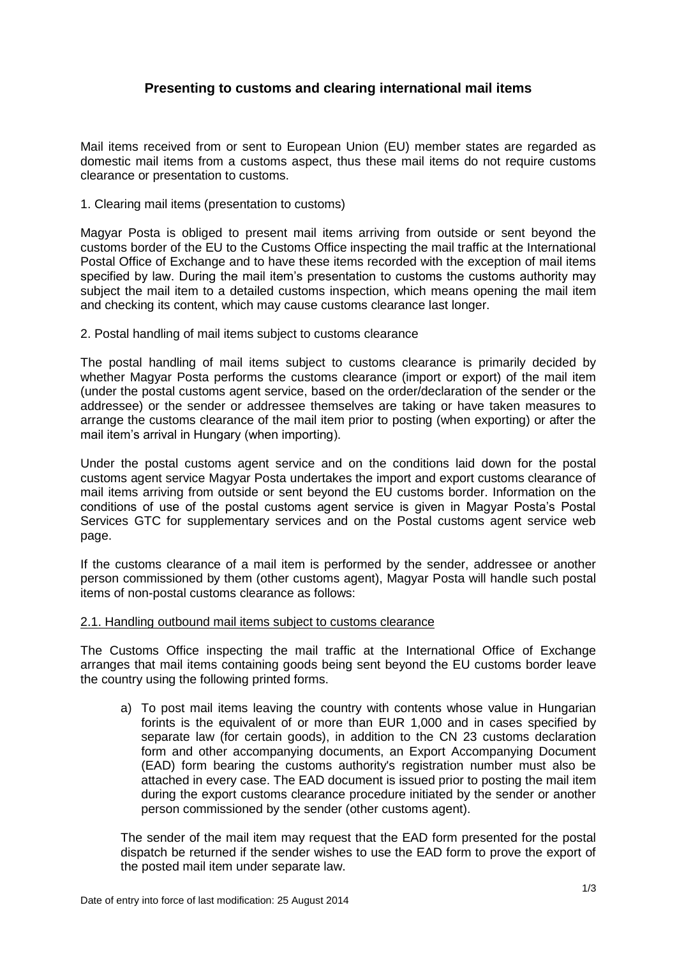## **Presenting to customs and clearing international mail items**

Mail items received from or sent to European Union (EU) member states are regarded as domestic mail items from a customs aspect, thus these mail items do not require customs clearance or presentation to customs.

1. Clearing mail items (presentation to customs)

Magyar Posta is obliged to present mail items arriving from outside or sent beyond the customs border of the EU to the Customs Office inspecting the mail traffic at the International Postal Office of Exchange and to have these items recorded with the exception of mail items specified by law. During the mail item's presentation to customs the customs authority may subject the mail item to a detailed customs inspection, which means opening the mail item and checking its content, which may cause customs clearance last longer.

2. Postal handling of mail items subject to customs clearance

The postal handling of mail items subject to customs clearance is primarily decided by whether Magyar Posta performs the customs clearance (import or export) of the mail item (under the postal customs agent service, based on the order/declaration of the sender or the addressee) or the sender or addressee themselves are taking or have taken measures to arrange the customs clearance of the mail item prior to posting (when exporting) or after the mail item's arrival in Hungary (when importing).

Under the postal customs agent service and on the conditions laid down for the postal customs agent service Magyar Posta undertakes the import and export customs clearance of mail items arriving from outside or sent beyond the EU customs border. Information on the conditions of use of the postal customs agent service is given in Magyar Posta's Postal Services GTC for supplementary services and on the Postal customs agent service web page.

If the customs clearance of a mail item is performed by the sender, addressee or another person commissioned by them (other customs agent), Magyar Posta will handle such postal items of non-postal customs clearance as follows:

## 2.1. Handling outbound mail items subject to customs clearance

The Customs Office inspecting the mail traffic at the International Office of Exchange arranges that mail items containing goods being sent beyond the EU customs border leave the country using the following printed forms.

a) To post mail items leaving the country with contents whose value in Hungarian forints is the equivalent of or more than EUR 1,000 and in cases specified by separate law (for certain goods), in addition to the CN 23 customs declaration form and other accompanying documents, an Export Accompanying Document (EAD) form bearing the customs authority's registration number must also be attached in every case. The EAD document is issued prior to posting the mail item during the export customs clearance procedure initiated by the sender or another person commissioned by the sender (other customs agent).

The sender of the mail item may request that the EAD form presented for the postal dispatch be returned if the sender wishes to use the EAD form to prove the export of the posted mail item under separate law.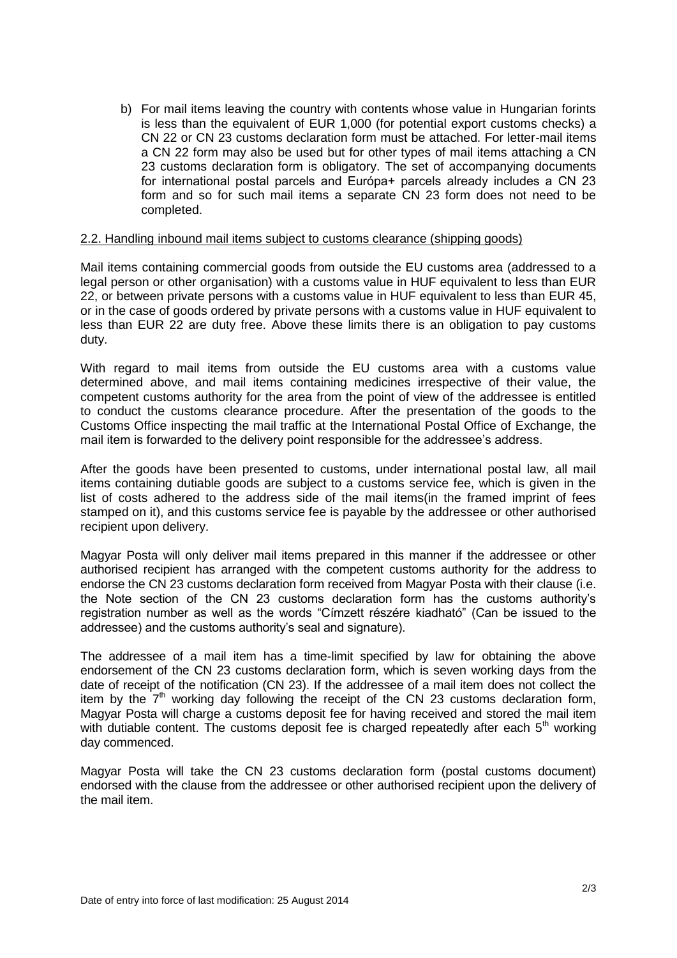b) For mail items leaving the country with contents whose value in Hungarian forints is less than the equivalent of EUR 1,000 (for potential export customs checks) a CN 22 or CN 23 customs declaration form must be attached. For letter-mail items a CN 22 form may also be used but for other types of mail items attaching a CN 23 customs declaration form is obligatory. The set of accompanying documents for international postal parcels and Európa+ parcels already includes a CN 23 form and so for such mail items a separate CN 23 form does not need to be completed.

## 2.2. Handling inbound mail items subject to customs clearance (shipping goods)

Mail items containing commercial goods from outside the EU customs area (addressed to a legal person or other organisation) with a customs value in HUF equivalent to less than EUR 22, or between private persons with a customs value in HUF equivalent to less than EUR 45, or in the case of goods ordered by private persons with a customs value in HUF equivalent to less than EUR 22 are duty free. Above these limits there is an obligation to pay customs duty.

With regard to mail items from outside the EU customs area with a customs value determined above, and mail items containing medicines irrespective of their value, the competent customs authority for the area from the point of view of the addressee is entitled to conduct the customs clearance procedure. After the presentation of the goods to the Customs Office inspecting the mail traffic at the International Postal Office of Exchange, the mail item is forwarded to the delivery point responsible for the addressee's address.

After the goods have been presented to customs, under international postal law, all mail items containing dutiable goods are subject to a customs service fee, which is given in the list of costs adhered to the address side of the mail items(in the framed imprint of fees stamped on it), and this customs service fee is payable by the addressee or other authorised recipient upon delivery.

Magyar Posta will only deliver mail items prepared in this manner if the addressee or other authorised recipient has arranged with the competent customs authority for the address to endorse the CN 23 customs declaration form received from Magyar Posta with their clause (i.e. the Note section of the CN 23 customs declaration form has the customs authority's registration number as well as the words "Címzett részére kiadható" (Can be issued to the addressee) and the customs authority's seal and signature).

The addressee of a mail item has a time-limit specified by law for obtaining the above endorsement of the CN 23 customs declaration form, which is seven working days from the date of receipt of the notification (CN 23). If the addressee of a mail item does not collect the item by the  $7<sup>th</sup>$  working day following the receipt of the CN 23 customs declaration form, Magyar Posta will charge a customs deposit fee for having received and stored the mail item with dutiable content. The customs deposit fee is charged repeatedly after each  $5<sup>th</sup>$  working day commenced.

Magyar Posta will take the CN 23 customs declaration form (postal customs document) endorsed with the clause from the addressee or other authorised recipient upon the delivery of the mail item.